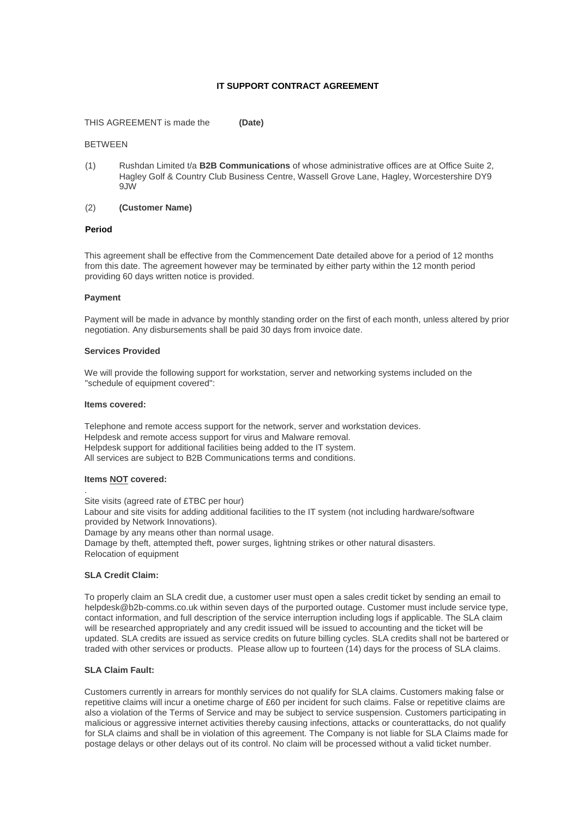# **IT SUPPORT CONTRACT AGREEMENT**

THIS AGREEMENT is made the **(Date)**

### BETWEEN

(1) Rushdan Limited t/a **B2B Communications** of whose administrative offices are at Office Suite 2, Hagley Golf & Country Club Business Centre, Wassell Grove Lane, Hagley, Worcestershire DY9 9JW

## (2) **(Customer Name)**

## **Period**

This agreement shall be effective from the Commencement Date detailed above for a period of 12 months from this date. The agreement however may be terminated by either party within the 12 month period providing 60 days written notice is provided.

### **Payment**

Payment will be made in advance by monthly standing order on the first of each month, unless altered by prior negotiation. Any disbursements shall be paid 30 days from invoice date.

#### **Services Provided**

We will provide the following support for workstation, server and networking systems included on the "schedule of equipment covered":

#### **Items covered:**

Telephone and remote access support for the network, server and workstation devices. Helpdesk and remote access support for virus and Malware removal. Helpdesk support for additional facilities being added to the IT system. All services are subject to B2B Communications terms and conditions.

## **Items NOT covered:**

.

Site visits (agreed rate of £TBC per hour) Labour and site visits for adding additional facilities to the IT system (not including hardware/software provided by Network Innovations). Damage by any means other than normal usage. Damage by theft, attempted theft, power surges, lightning strikes or other natural disasters. Relocation of equipment

#### **SLA Credit Claim:**

To properly claim an SLA credit due, a customer user must open a sales credit ticket by sending an email to helpdesk@b2b-comms.co.uk within seven days of the purported outage. Customer must include service type, contact information, and full description of the service interruption including logs if applicable. The SLA claim will be researched appropriately and any credit issued will be issued to accounting and the ticket will be updated. SLA credits are issued as service credits on future billing cycles. SLA credits shall not be bartered or traded with other services or products. Please allow up to fourteen (14) days for the process of SLA claims.

## **SLA Claim Fault:**

Customers currently in arrears for monthly services do not qualify for SLA claims. Customers making false or repetitive claims will incur a onetime charge of £60 per incident for such claims. False or repetitive claims are also a violation of the Terms of Service and may be subject to service suspension. Customers participating in malicious or aggressive internet activities thereby causing infections, attacks or counterattacks, do not qualify for SLA claims and shall be in violation of this agreement. The Company is not liable for SLA Claims made for postage delays or other delays out of its control. No claim will be processed without a valid ticket number.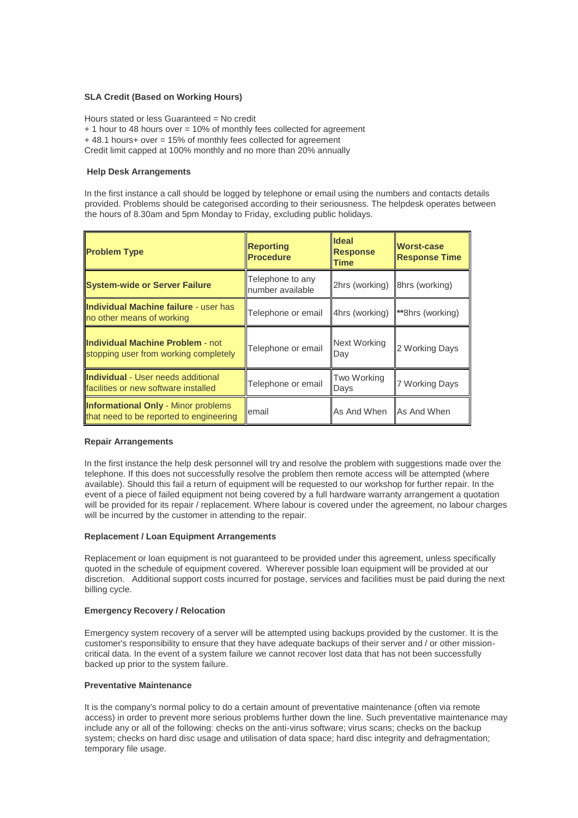# **SLA Credit (Based on Working Hours)**

Hours stated or less Guaranteed = No credit + 1 hour to 48 hours over = 10% of monthly fees collected for agreement + 48.1 hours+ over = 15% of monthly fees collected for agreement Credit limit capped at 100% monthly and no more than 20% annually

## **Help Desk Arrangements**

In the first instance a call should be logged by telephone or email using the numbers and contacts details provided. Problems should be categorised according to their seriousness. The helpdesk operates between the hours of 8.30am and 5pm Monday to Friday, excluding public holidays.

| <b>Problem Type</b>                                                                   | <b>Reporting</b><br><b>Procedure</b> | <b>Ideal</b><br><b>Response</b><br><b>Time</b> | <b>Worst-case</b><br><b>Response Time</b> |
|---------------------------------------------------------------------------------------|--------------------------------------|------------------------------------------------|-------------------------------------------|
| <b>System-wide or Server Failure</b>                                                  | Telephone to any<br>number available | 2hrs (working) 8hrs (working)                  |                                           |
| <b>Individual Machine failure - user has</b><br>no other means of working             | Telephone or email                   | 4hrs (working)                                 | **8hrs (working)                          |
| <b>Individual Machine Problem - not</b><br>stopping user from working completely      | Telephone or email                   | Next Working<br>Day                            | 2 Working Days                            |
| <b>Individual</b> - User needs additional<br>facilities or new software installed     | Telephone or email                   | <b>Two Working</b><br>Days                     | 7 Working Days                            |
| <b>Informational Only - Minor problems</b><br>that need to be reported to engineering | email                                | As And When As And When                        |                                           |

### **Repair Arrangements**

In the first instance the help desk personnel will try and resolve the problem with suggestions made over the telephone. If this does not successfully resolve the problem then remote access will be attempted (where available). Should this fail a return of equipment will be requested to our workshop for further repair. In the event of a piece of failed equipment not being covered by a full hardware warranty arrangement a quotation will be provided for its repair / replacement. Where labour is covered under the agreement, no labour charges will be incurred by the customer in attending to the repair.

#### **Replacement / Loan Equipment Arrangements**

Replacement or loan equipment is not guaranteed to be provided under this agreement, unless specifically quoted in the schedule of equipment covered. Wherever possible loan equipment will be provided at our discretion. Additional support costs incurred for postage, services and facilities must be paid during the next billing cycle.

# **Emergency Recovery / Relocation**

Emergency system recovery of a server will be attempted using backups provided by the customer. It is the customer's responsibility to ensure that they have adequate backups of their server and / or other missioncritical data. In the event of a system failure we cannot recover lost data that has not been successfully backed up prior to the system failure.

## **Preventative Maintenance**

It is the company's normal policy to do a certain amount of preventative maintenance (often via remote access) in order to prevent more serious problems further down the line. Such preventative maintenance may include any or all of the following: checks on the anti-virus software; virus scans; checks on the backup system; checks on hard disc usage and utilisation of data space; hard disc integrity and defragmentation; temporary file usage.